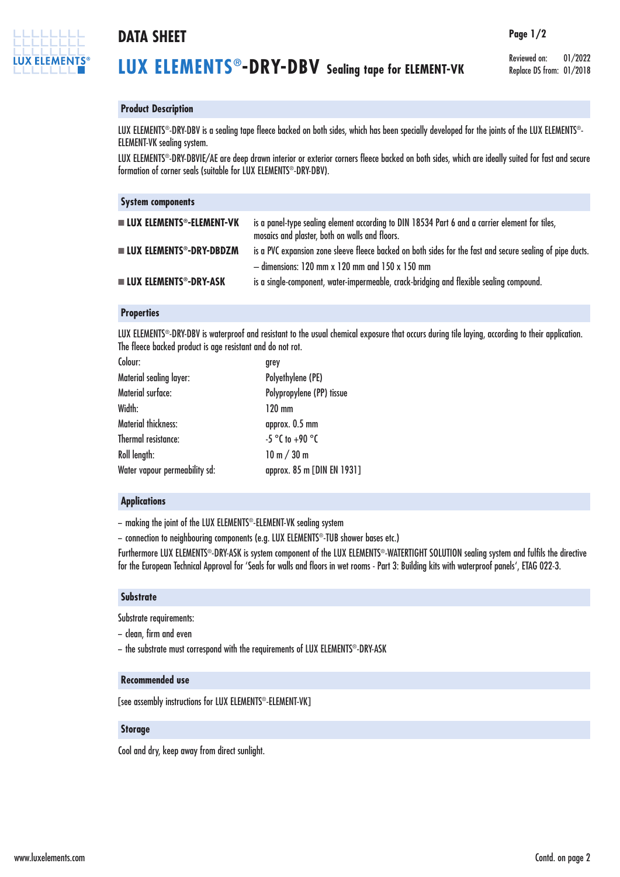

# **DATA SHEET Page 1/2**

Reviewed on: 01/2022 Replace DS from: 01/2018

## **Product Description**

LUX ELEMENTS®-DRY-DBV is a sealing tape fleece backed on both sides, which has been specially developed for the joints of the LUX ELEMENTS®-ELEMENT-VK sealing system.

LUX ELEMENTS®-DRY-DBVIE/AE are deep drawn interior or exterior corners fleece backed on both sides, which are ideally suited for fast and secure formation of corner seals (suitable for LUX ELEMENTS®-DRY-DBV).

| <b>System components</b>                   |                                                                                                                                                               |
|--------------------------------------------|---------------------------------------------------------------------------------------------------------------------------------------------------------------|
| <b>LUX ELEMENTS<sup>®</sup>-ELEMENT-VK</b> | is a panel-type sealing element according to DIN 18534 Part 6 and a carrier element for tiles,<br>mosaics and plaster, both on walls and floors.              |
| $\blacksquare$ LUX ELEMENTS®-DRY-DBDZM     | is a PVC expansion zone sleeve fleece backed on both sides for the fast and secure sealing of pipe ducts.<br>$-$ dimensions: 120 mm x 120 mm and 150 x 150 mm |
| <b>LUX ELEMENTS<sup>®</sup>-DRY-ASK</b>    | is a single-component, water-impermeable, crack-bridging and flexible sealing compound.                                                                       |

### **Properties**

LUX ELEMENTS®-DRY-DBV is waterproof and resistant to the usual chemical exposure that occurs during tile laying, according to their application. The fleece backed product is age resistant and do not rot.

| Colour:                        | grey                       |
|--------------------------------|----------------------------|
| <b>Material sealing layer:</b> | Polyethylene (PE)          |
| Material surface:              | Polypropylene (PP) tissue  |
| Width:                         | $120 \text{ mm}$           |
| <b>Material thickness:</b>     | approx. 0.5 mm             |
| Thermal resistance:            | $-5$ °C to +90 °C          |
| Roll length:                   | 10 m / 30 m                |
| Water vapour permeability sd:  | approx. 85 m [DIN EN 1931] |
|                                |                            |

#### **Applications**

– making the joint of the LUX ELEMENTS®-ELEMENT-VK sealing system

– connection to neighbouring components (e.g. LUX ELEMENTS®-TUB shower bases etc.)

Furthermore LUX ELEMENTS®-DRY-ASK is system component of the LUX ELEMENTS®-WATERTIGHT SOLUTION sealing system and fulfils the directive for the European Technical Approval for 'Seals for walls and floors in wet rooms - Part 3: Building kits with waterproof panels', ETAG 022-3.

#### **Substrate**

Substrate requirements:

- clean, firm and even
- the substrate must correspond with the requirements of LUX ELEMENTS®-DRY-ASK

#### **Recommended use**

[see assembly instructions for LUX ELEMENTS®-ELEMENT-VK]

#### **Storage**

Cool and dry, keep away from direct sunlight.